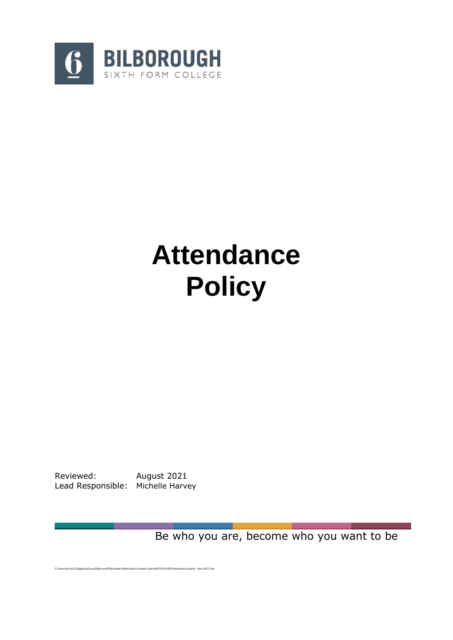

# **Attendance Policy**

Reviewed: August 2021 Lead Responsible: Michelle Harvey

Be who you are, become who you want to be

C:\Users\kirnic21\AppData\Local\Microsoft\Windows\INetCache\Content.Outlook\FF5U5HQP\Attendance policy - Nov 2017.doc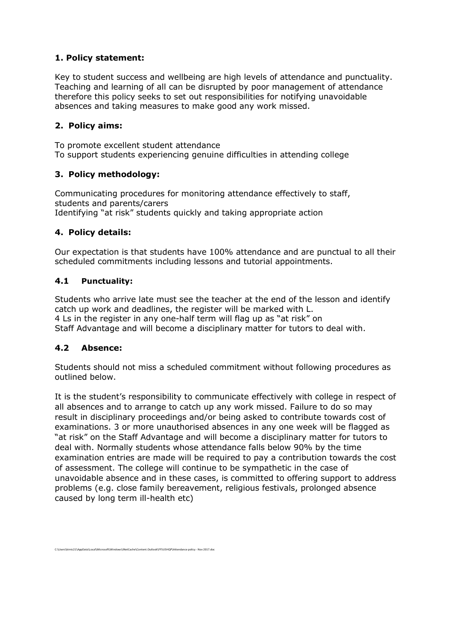# **1. Policy statement:**

Key to student success and wellbeing are high levels of attendance and punctuality. Teaching and learning of all can be disrupted by poor management of attendance therefore this policy seeks to set out responsibilities for notifying unavoidable absences and taking measures to make good any work missed.

# **2. Policy aims:**

To promote excellent student attendance To support students experiencing genuine difficulties in attending college

# **3. Policy methodology:**

Communicating procedures for monitoring attendance effectively to staff, students and parents/carers Identifying "at risk" students quickly and taking appropriate action

# **4. Policy details:**

Our expectation is that students have 100% attendance and are punctual to all their scheduled commitments including lessons and tutorial appointments.

## **4.1 Punctuality:**

Students who arrive late must see the teacher at the end of the lesson and identify catch up work and deadlines, the register will be marked with L. 4 Ls in the register in any one-half term will flag up as "at risk" on Staff Advantage and will become a disciplinary matter for tutors to deal with.

## **4.2 Absence:**

Students should not miss a scheduled commitment without following procedures as outlined below.

It is the student's responsibility to communicate effectively with college in respect of all absences and to arrange to catch up any work missed. Failure to do so may result in disciplinary proceedings and/or being asked to contribute towards cost of examinations. 3 or more unauthorised absences in any one week will be flagged as "at risk" on the Staff Advantage and will become a disciplinary matter for tutors to deal with. Normally students whose attendance falls below 90% by the time examination entries are made will be required to pay a contribution towards the cost of assessment. The college will continue to be sympathetic in the case of unavoidable absence and in these cases, is committed to offering support to address problems (e.g. close family bereavement, religious festivals, prolonged absence caused by long term ill-health etc)

C:\Users\kirnic21\AppData\Local\Microsoft\Windows\INetCache\Content.Outlook\FF5U5HQP\Attendance policy - Nov 2017.doc